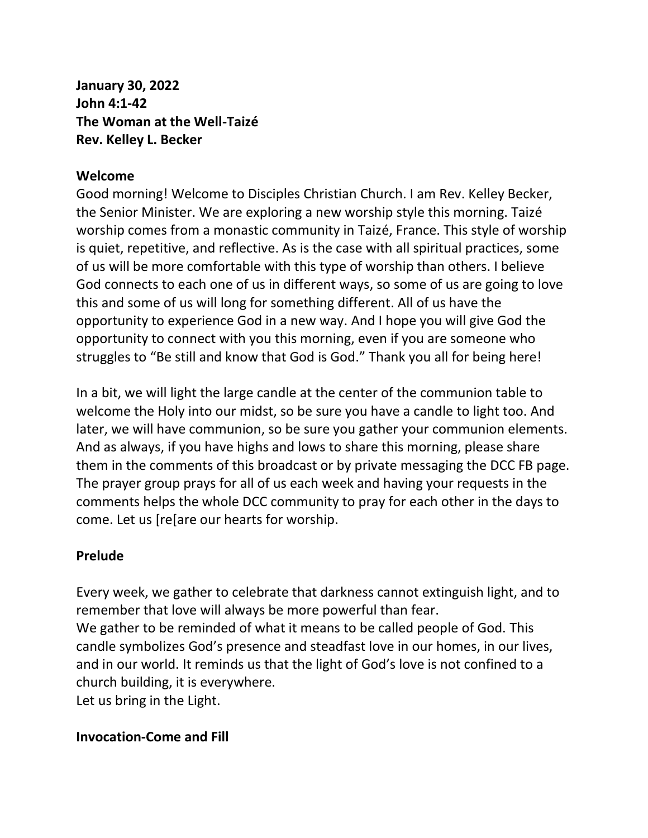**January 30, 2022 John 4:1-42 The Woman at the Well-Taizé Rev. Kelley L. Becker**

#### **Welcome**

Good morning! Welcome to Disciples Christian Church. I am Rev. Kelley Becker, the Senior Minister. We are exploring a new worship style this morning. Taizé worship comes from a monastic community in Taizé, France. This style of worship is quiet, repetitive, and reflective. As is the case with all spiritual practices, some of us will be more comfortable with this type of worship than others. I believe God connects to each one of us in different ways, so some of us are going to love this and some of us will long for something different. All of us have the opportunity to experience God in a new way. And I hope you will give God the opportunity to connect with you this morning, even if you are someone who struggles to "Be still and know that God is God." Thank you all for being here!

In a bit, we will light the large candle at the center of the communion table to welcome the Holy into our midst, so be sure you have a candle to light too. And later, we will have communion, so be sure you gather your communion elements. And as always, if you have highs and lows to share this morning, please share them in the comments of this broadcast or by private messaging the DCC FB page. The prayer group prays for all of us each week and having your requests in the comments helps the whole DCC community to pray for each other in the days to come. Let us [re[are our hearts for worship.

#### **Prelude**

Every week, we gather to celebrate that darkness cannot extinguish light, and to remember that love will always be more powerful than fear. We gather to be reminded of what it means to be called people of God. This candle symbolizes God's presence and steadfast love in our homes, in our lives, and in our world. It reminds us that the light of God's love is not confined to a church building, it is everywhere. Let us bring in the Light.

#### **Invocation-Come and Fill**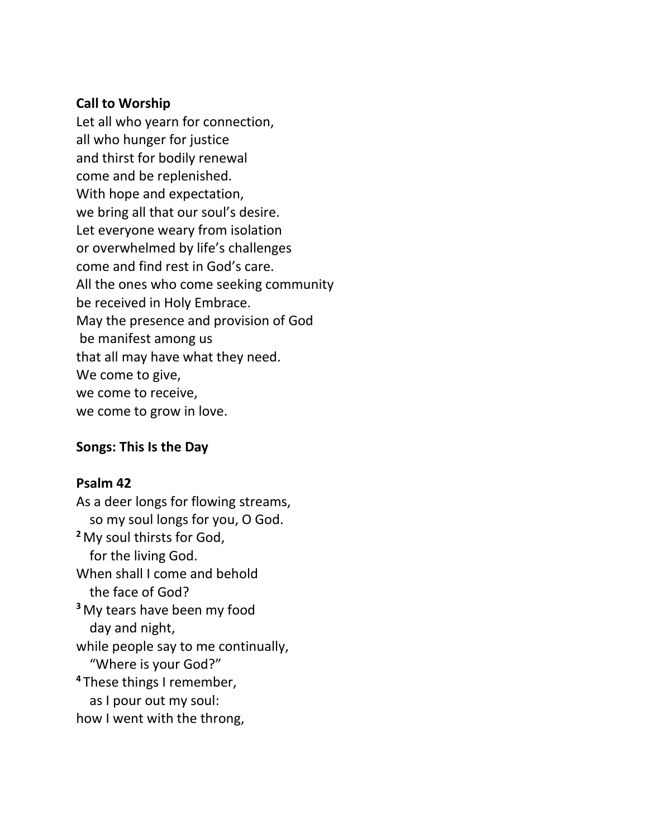#### **Call to Worship**

Let all who yearn for connection, all who hunger for justice and thirst for bodily renewal come and be replenished. With hope and expectation, we bring all that our soul's desire. Let everyone weary from isolation or overwhelmed by life's challenges come and find rest in God's care. All the ones who come seeking community be received in Holy Embrace. May the presence and provision of God be manifest among us that all may have what they need. We come to give, we come to receive, we come to grow in love.

## **Songs: This Is the Day**

#### **Psalm 42**

As a deer longs for flowing streams, so my soul longs for you, O God. **<sup>2</sup>** My soul thirsts for God, for the living God. When shall I come and behold the face of God? **<sup>3</sup>** My tears have been my food day and night, while people say to me continually, "Where is your God?" **<sup>4</sup>** These things I remember, as I pour out my soul: how I went with the throng,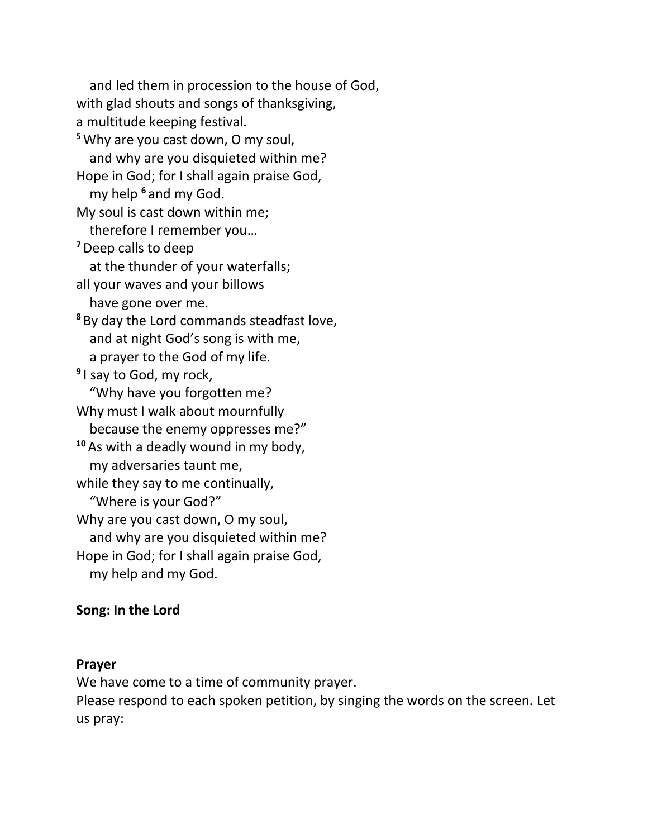and led them in procession to the house of God, with glad shouts and songs of thanksgiving, a multitude keeping festival. **<sup>5</sup>**Why are you cast down, O my soul, and why are you disquieted within me? Hope in God; for I shall again praise God, my help **<sup>6</sup>** and my God. My soul is cast down within me; therefore I remember you… **<sup>7</sup>**Deep calls to deep at the thunder of your waterfalls; all your waves and your billows have gone over me. **<sup>8</sup>** By day the Lord commands steadfast love, and at night God's song is with me, a prayer to the God of my life. **9** I say to God, my rock, "Why have you forgotten me? Why must I walk about mournfully because the enemy oppresses me?" **<sup>10</sup>** As with a deadly wound in my body, my adversaries taunt me, while they say to me continually, "Where is your God?" Why are you cast down, O my soul, and why are you disquieted within me? Hope in God; for I shall again praise God, my help and my God.

### **Song: In the Lord**

#### **Prayer**

We have come to a time of community prayer.

Please respond to each spoken petition, by singing the words on the screen. Let us pray: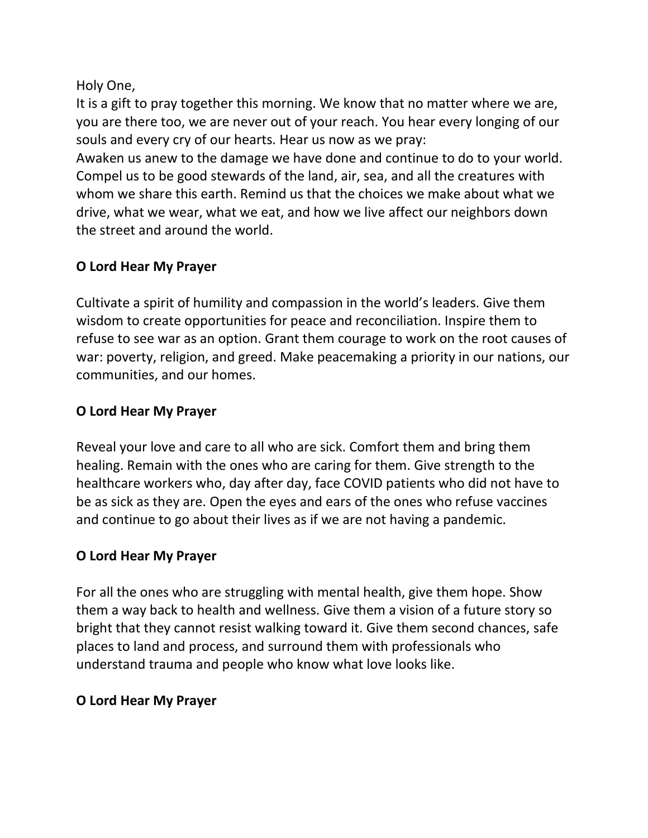Holy One,

It is a gift to pray together this morning. We know that no matter where we are, you are there too, we are never out of your reach. You hear every longing of our souls and every cry of our hearts. Hear us now as we pray:

Awaken us anew to the damage we have done and continue to do to your world. Compel us to be good stewards of the land, air, sea, and all the creatures with whom we share this earth. Remind us that the choices we make about what we drive, what we wear, what we eat, and how we live affect our neighbors down the street and around the world.

# **O Lord Hear My Prayer**

Cultivate a spirit of humility and compassion in the world's leaders. Give them wisdom to create opportunities for peace and reconciliation. Inspire them to refuse to see war as an option. Grant them courage to work on the root causes of war: poverty, religion, and greed. Make peacemaking a priority in our nations, our communities, and our homes.

## **O Lord Hear My Prayer**

Reveal your love and care to all who are sick. Comfort them and bring them healing. Remain with the ones who are caring for them. Give strength to the healthcare workers who, day after day, face COVID patients who did not have to be as sick as they are. Open the eyes and ears of the ones who refuse vaccines and continue to go about their lives as if we are not having a pandemic.

# **O Lord Hear My Prayer**

For all the ones who are struggling with mental health, give them hope. Show them a way back to health and wellness. Give them a vision of a future story so bright that they cannot resist walking toward it. Give them second chances, safe places to land and process, and surround them with professionals who understand trauma and people who know what love looks like.

# **O Lord Hear My Prayer**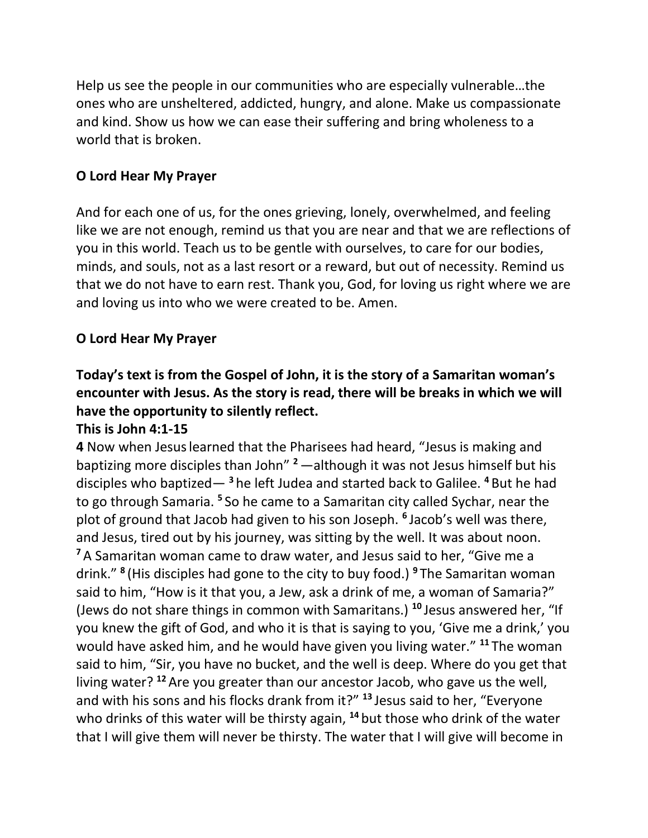Help us see the people in our communities who are especially vulnerable…the ones who are unsheltered, addicted, hungry, and alone. Make us compassionate and kind. Show us how we can ease their suffering and bring wholeness to a world that is broken.

## **O Lord Hear My Prayer**

And for each one of us, for the ones grieving, lonely, overwhelmed, and feeling like we are not enough, remind us that you are near and that we are reflections of you in this world. Teach us to be gentle with ourselves, to care for our bodies, minds, and souls, not as a last resort or a reward, but out of necessity. Remind us that we do not have to earn rest. Thank you, God, for loving us right where we are and loving us into who we were created to be. Amen.

## **O Lord Hear My Prayer**

# **Today's text is from the Gospel of John, it is the story of a Samaritan woman's encounter with Jesus. As the story is read, there will be breaks in which we will have the opportunity to silently reflect.**

### **This is John 4:1-15**

**4** Now when Jesuslearned that the Pharisees had heard, "Jesus is making and baptizing more disciples than John" **<sup>2</sup>**—although it was not Jesus himself but his disciples who baptized— **<sup>3</sup>** he left Judea and started back to Galilee. **<sup>4</sup>** But he had to go through Samaria. <sup>5</sup> So he came to a Samaritan city called Sychar, near the plot of ground that Jacob had given to his son Joseph. **<sup>6</sup>** Jacob's well was there, and Jesus, tired out by his journey, was sitting by the well. It was about noon. **<sup>7</sup>** A Samaritan woman came to draw water, and Jesus said to her, "Give me a drink." **<sup>8</sup>** (His disciples had gone to the city to buy food.) **<sup>9</sup>** The Samaritan woman said to him, "How is it that you, a Jew, ask a drink of me, a woman of Samaria?" (Jews do not share things in common with Samaritans.) **<sup>10</sup>** Jesus answered her, "If you knew the gift of God, and who it is that is saying to you, 'Give me a drink,' you would have asked him, and he would have given you living water." **<sup>11</sup>** The woman said to him, "Sir, you have no bucket, and the well is deep. Where do you get that living water? **<sup>12</sup>** Are you greater than our ancestor Jacob, who gave us the well, and with his sons and his flocks drank from it?" **<sup>13</sup>** Jesus said to her, "Everyone who drinks of this water will be thirsty again, **<sup>14</sup>** but those who drink of the water that I will give them will never be thirsty. The water that I will give will become in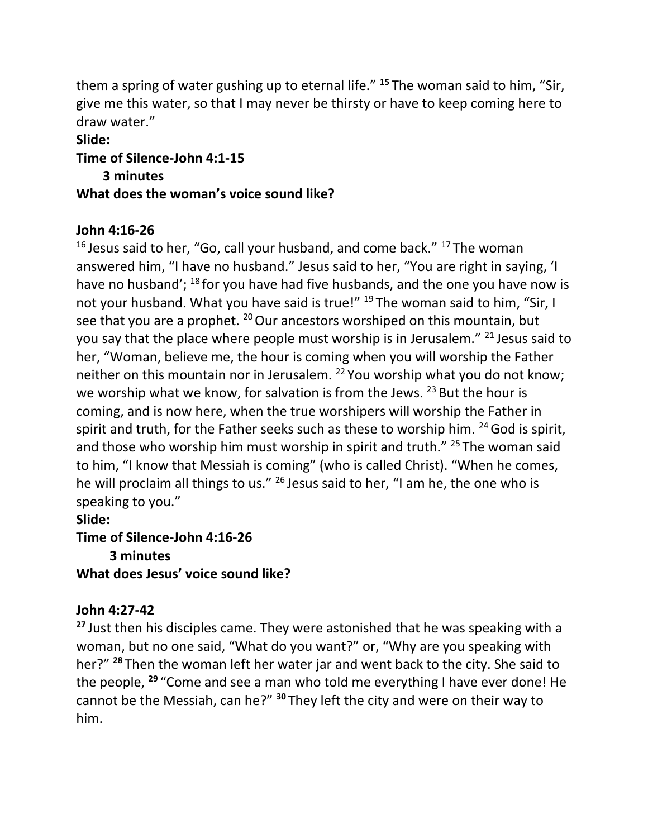them a spring of water gushing up to eternal life." **<sup>15</sup>** The woman said to him, "Sir, give me this water, so that I may never be thirsty or have to keep coming here to draw water."

#### **Slide:**

### **Time of Silence-John 4:1-15**

 **3 minutes**

### **What does the woman's voice sound like?**

### **John 4:16-26**

 $16$  Jesus said to her, "Go, call your husband, and come back."  $17$  The woman answered him, "I have no husband." Jesus said to her, "You are right in saying, 'I have no husband'; <sup>18</sup> for you have had five husbands, and the one you have now is not your husband. What you have said is true!" <sup>19</sup> The woman said to him, "Sir, I see that you are a prophet.  $^{20}$  Our ancestors worshiped on this mountain, but you say that the place where people must worship is in Jerusalem." <sup>21</sup> Jesus said to her, "Woman, believe me, the hour is coming when you will worship the Father neither on this mountain nor in Jerusalem. <sup>22</sup> You worship what you do not know; we worship what we know, for salvation is from the Jews.  $^{23}$  But the hour is coming, and is now here, when the true worshipers will worship the Father in spirit and truth, for the Father seeks such as these to worship him.  $24$  God is spirit, and those who worship him must worship in spirit and truth." <sup>25</sup> The woman said to him, "I know that Messiah is coming" (who is called Christ). "When he comes, he will proclaim all things to us." <sup>26</sup> Jesus said to her, "I am he, the one who is speaking to you."

**Slide:**

**Time of Silence-John 4:16-26 3 minutes What does Jesus' voice sound like?**

## **John 4:27-42**

**<sup>27</sup>** Just then his disciples came. They were astonished that he was speaking with a woman, but no one said, "What do you want?" or, "Why are you speaking with her?" **<sup>28</sup>** Then the woman left her water jar and went back to the city. She said to the people, **<sup>29</sup>** "Come and see a man who told me everything I have ever done! He cannot be the Messiah, can he?" **<sup>30</sup>** They left the city and were on their way to him.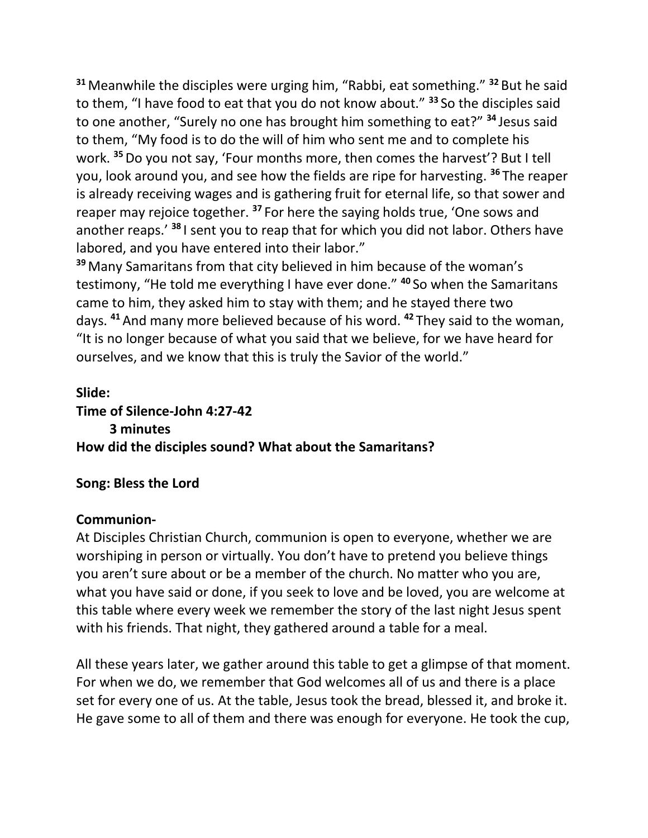**<sup>31</sup>** Meanwhile the disciples were urging him, "Rabbi, eat something." **<sup>32</sup>** But he said to them, "I have food to eat that you do not know about." **<sup>33</sup>** So the disciples said to one another, "Surely no one has brought him something to eat?" **<sup>34</sup>** Jesus said to them, "My food is to do the will of him who sent me and to complete his work. **<sup>35</sup>**Do you not say, 'Four months more, then comes the harvest'? But I tell you, look around you, and see how the fields are ripe for harvesting. **<sup>36</sup>** The reaper is already receiving wages and is gathering fruit for eternal life, so that sower and reaper may rejoice together. **<sup>37</sup>** For here the saying holds true, 'One sows and another reaps.' **<sup>38</sup>** I sent you to reap that for which you did not labor. Others have labored, and you have entered into their labor."

**<sup>39</sup>** Many Samaritans from that city believed in him because of the woman's testimony, "He told me everything I have ever done." **<sup>40</sup>** So when the Samaritans came to him, they asked him to stay with them; and he stayed there two days. **<sup>41</sup>** And many more believed because of his word. **<sup>42</sup>** They said to the woman, "It is no longer because of what you said that we believe, for we have heard for ourselves, and we know that this is truly the Savior of the world."

# **Slide: Time of Silence-John 4:27-42 3 minutes How did the disciples sound? What about the Samaritans?**

## **Song: Bless the Lord**

### **Communion-**

At Disciples Christian Church, communion is open to everyone, whether we are worshiping in person or virtually. You don't have to pretend you believe things you aren't sure about or be a member of the church. No matter who you are, what you have said or done, if you seek to love and be loved, you are welcome at this table where every week we remember the story of the last night Jesus spent with his friends. That night, they gathered around a table for a meal.

All these years later, we gather around this table to get a glimpse of that moment. For when we do, we remember that God welcomes all of us and there is a place set for every one of us. At the table, Jesus took the bread, blessed it, and broke it. He gave some to all of them and there was enough for everyone. He took the cup,